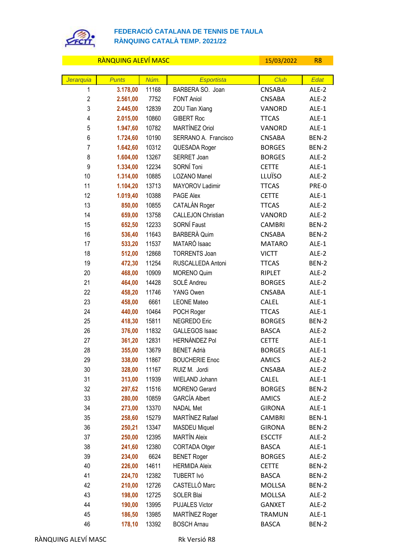

## **FEDERACIÓ CATALANA DE TENNIS DE TAULA RÀNQUING CATALÀ TEMP. 2021/22**

RÀNQUING ALEVÍ MASC **15/03/2022** R8 *Jerarquia Punts Núm. Esportista Club Edat* **3.178,00** 11168 BARBERA SO. Joan CNSABA ALE-2 **2.561,00** 7752 FONT Aniol CNSABA ALE-2 **2.445,00** 12839 ZOU Tian Xiang VANORD ALE-1 **2.015,00** 10860 GIBERT Roc TTCAS ALE-1 **1.947,60** 10782 MARTÍNEZ Oriol VANORD ALE-1 **1.724,60** 10190 SERRANO A. Francisco CNSABA BEN-2 **1.642,60** 10312 QUESADA Roger BORGES BEN-2 **1.604.00** 13267 SERRET Joan **BORGES** ALE-2 **1.334,00** 12234 SORNÍ Toni CETTE ALE-1 **1.314,00** 10885 LOZANO Manel LLUÏSO ALE-2 **1.104,20** 13713 MAYOROV Ladimir TTCAS PRE-0 **1.019,40** 10388 PAGE Alex CETTE ALE-1 **850,00** 10855 CATALÁN Roger TTCAS ALE-2 **659,00** 13758 CALLEJON Christian VANORD ALE-2 **652,50** 12233 SORNÍ Faust CAMBRI BEN-2 **536,40** 11643 BARBERÀ Quim CNSABA BEN-2 **533,20** 11537 MATARÓ Isaac MATARO ALE-1 **512,00** 12868 TORRENTS Joan VICTT ALE-2 **472,30** 11254 RUSCALLEDA Antoni TTCAS BEN-2 **468,00** 10909 MORENO Quim RIPLET ALE-2 **464,00** 14428 SOLÉ Andreu BORGES ALE-2 **458,20** 11746 YANG Owen CNSABA ALE-1 **458,00** 6661 LEONE Mateo CALEL ALE-1 **440,00** 10464 POCH Roger TTCAS ALE-1 **418,30** 15811 **NEGREDO Eric** BORGES BEN-2 **376,00** 11832 GALLEGOS Isaac BASCA ALE-2 **361,20** 12831 HERNÁNDEZ Pol CETTE ALE-1 **355,00** 13679 BENET Adrià BORGES ALE-1 **338,00** 11867 BOUCHERIE Enoc AMICS ALE-2 **328,00** 11167 RUIZ M. Jordi CNSABA ALE-2 **313,00** 11939 WIELAND Johann CALEL ALE-1 **297,62** 11516 MORENO Gerard BORGES BEN-2 **280,00** 10859 GARCÍA Albert **AMICS** ALE-2 **273,00** 13370 NADAL Met GIRONA ALE-1 **258,60** 15279 MARTÍNEZ Rafael CAMBRI BEN-1 **250,21** 13347 MASDEU Miquel GIRONA BEN-2 **250,00** 12395 MARTÍN Aleix ESCCTF ALE-2 **241,60** 12380 CORTADA Otger BASCA ALE-1 **234,00** 6624 BENET Roger BORGES ALE-2 **226,00** 14611 HERMIDA Aleix CETTE BEN-2 **224,70** 12382 TUBERT Ivó BASCA BEN-2 **210,00** 12726 CASTELLÓ Marc MOLLSA BEN-2 **198,00** 12725 SOLER Blai MOLLSA ALE-2 **190,00** 13995 PUJALES Victor GANXET ALE-2 **186,50** 13985 MARTÍNEZ Roger TRAMUN ALE-1 **178,10** 13392 BOSCH Arnau BASCA BEN-2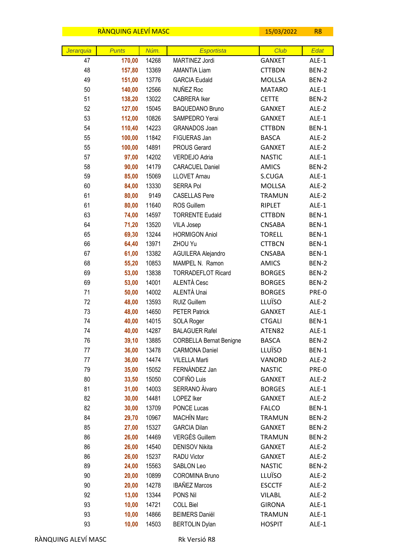|           | RANQUING ALEVI MASC |       |                                | 15/03/2022    | R <sub>8</sub> |
|-----------|---------------------|-------|--------------------------------|---------------|----------------|
|           |                     |       |                                |               |                |
| Jerarquia | <b>Punts</b>        | Núm.  | <b>Esportista</b>              | Club          | Edat           |
| 47        | 170,00              | 14268 | MARTINEZ Jordi                 | <b>GANXET</b> | ALE-1          |
| 48        | 157,80              | 13369 | <b>AMANTIA Liam</b>            | <b>CTTBDN</b> | BEN-2          |
| 49        | 151,00              | 13776 | <b>GARCIA Eudald</b>           | <b>MOLLSA</b> | BEN-2          |
| 50        | 140,00              | 12566 | NUÑEZ Roc                      | <b>MATARO</b> | ALE-1          |
| 51        | 138,20              | 13022 | <b>CABRERA Iker</b>            | <b>CETTE</b>  | BEN-2          |
| 52        | 127,00              | 15045 | <b>BAQUEDANO Bruno</b>         | <b>GANXET</b> | ALE-2          |
| 53        | 112,00              | 10826 | SAMPEDRO Yerai                 | <b>GANXET</b> | ALE-1          |
| 54        | 110,40              | 14223 | GRANADOS Joan                  | <b>CTTBDN</b> | BEN-1          |
| 55        | 100,00              | 11842 | FIGUERAS Jan                   | <b>BASCA</b>  | ALE-2          |
| 55        | 100,00              | 14891 | <b>PROUS Gerard</b>            | <b>GANXET</b> | ALE-2          |
| 57        | 97,00               | 14202 | VERDEJO Adria                  | <b>NASTIC</b> | ALE-1          |
| 58        | 90,00               | 14179 | <b>CARACUEL Daniel</b>         | <b>AMICS</b>  | BEN-2          |
| 59        | 85,00               | 15069 | <b>LLOVET Arnau</b>            | S.CUGA        | ALE-1          |
| 60        | 84,00               | 13330 | <b>SERRA Pol</b>               | MOLLSA        | ALE-2          |
| 61        | 80,00               | 9149  | <b>CASELLAS Pere</b>           | <b>TRAMUN</b> | ALE-2          |
| 61        | 80,00               | 11640 | ROS Guillem                    | RIPLET        | ALE-1          |
| 63        | 74,00               | 14597 | <b>TORRENTE Eudald</b>         | <b>CTTBDN</b> | BEN-1          |
| 64        | 71,20               | 13520 | <b>VILA Josep</b>              | <b>CNSABA</b> | BEN-1          |
| 65        | 69,30               | 13244 | <b>HORMIGON Aniol</b>          | <b>TORELL</b> | BEN-1          |
| 66        | 64,40               | 13971 | ZHOU Yu                        | <b>CTTBCN</b> | BEN-1          |
| 67        | 61,00               | 13382 | AGUILERA Alejandro             | <b>CNSABA</b> | BEN-1          |
| 68        | 55,20               | 10853 | MAMPEL N. Ramon                | <b>AMICS</b>  | BEN-2          |
| 69        | 53,00               | 13838 | <b>TORRADEFLOT Ricard</b>      | <b>BORGES</b> | BEN-2          |
| 69        | 53,00               | 14001 | ALENTÀ Cesc                    | <b>BORGES</b> | BEN-2          |
| 71        | 50,00               | 14002 | ALENTÀ Unai                    | <b>BORGES</b> | PRE-0          |
| 72        | 48,00               | 13593 | RUIZ Guillem                   | LLUÏSO        | ALE-2          |
| 73        | 48,00               | 14650 | <b>PETER Patrick</b>           | <b>GANXET</b> | ALE-1          |
| 74        | 40,00               | 14015 | SOLA Roger                     | <b>CTGALI</b> | BEN-1          |
| 74        | 40,00               | 14287 | <b>BALAGUER Rafel</b>          | ATEN82        | ALE-1          |
| 76        | 39,10               | 13885 | <b>CORBELLA Bernat Benigne</b> | <b>BASCA</b>  | BEN-2          |
| 77        | 36,00               | 13478 | <b>CARMONA Daniel</b>          | LLUÏSO        | BEN-1          |
| 77        | 36,00               | 14474 | <b>VILELLA Marti</b>           | VANORD        | ALE-2          |
| 79        | 35,00               | 15052 | FERNÁNDEZ Jan                  | <b>NASTIC</b> | PRE-0          |
| 80        | 33,50               | 15050 | COFIÑO Luis                    | <b>GANXET</b> | ALE-2          |
| 81        | 31,00               | 14003 | SERRANO Alvaro                 | <b>BORGES</b> | ALE-1          |
| 82        | 30,00               | 14481 | LOPEZ Iker                     | <b>GANXET</b> | ALE-2          |
| 82        | 30,00               | 13709 | PONCE Lucas                    | <b>FALCO</b>  | BEN-1          |
| 84        | 29,70               | 10967 | <b>MACHÍN Marc</b>             | <b>TRAMUN</b> | BEN-2          |
| 85        | 27,00               | 15327 | <b>GARCIA Dilan</b>            | <b>GANXET</b> | BEN-2          |
| 86        | 26,00               | 14469 | <b>VERGÉS Guillem</b>          | <b>TRAMUN</b> | BEN-2          |
| 86        | 26,00               | 14540 | <b>DENISOV Nikita</b>          | GANXET        | ALE-2          |
| 86        | 26,00               | 15237 | RADU Victor                    | <b>GANXET</b> | ALE-2          |
| 89        | 24,00               | 15563 | SABLON Leo                     | <b>NASTIC</b> | BEN-2          |
| 90        | 20,00               | 10899 | <b>COROMINA Bruno</b>          | LLUÏSO        | ALE-2          |
| 90        | 20,00               | 14278 | <b>IBAÑEZ Marcos</b>           | <b>ESCCTF</b> | ALE-2          |
| 92        | 13,00               | 13344 | PONS Nil                       | <b>VILABL</b> | ALE-2          |
| 93        | 10,00               | 14721 | <b>COLL Biel</b>               | <b>GIRONA</b> | ALE-1          |
| 93        | 10,00               | 14866 | <b>BEIMERS Daniël</b>          | <b>TRAMUN</b> | ALE-1          |
| 93        | 10,00               | 14503 | <b>BERTOLIN Dylan</b>          | <b>HOSPIT</b> | ALE-1          |